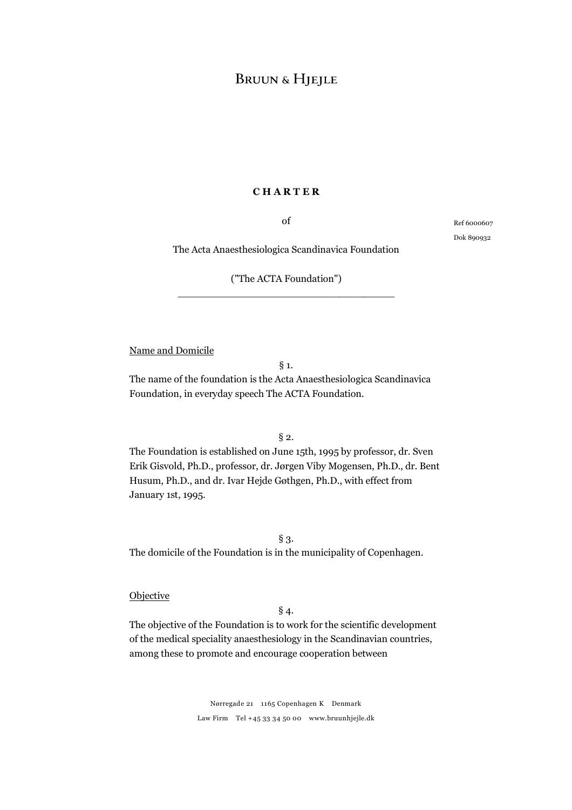#### **C H A R T E R**

of

Ref 6000607 Dok 890932

The Acta Anaesthesiologica Scandinavica Foundation

# ("The ACTA Foundation") \_\_\_\_\_\_\_\_\_\_\_\_\_\_\_\_\_\_\_\_\_\_\_\_\_\_\_\_\_\_\_\_\_\_\_

Name and Domicile

### § 1.

The name of the foundation is the Acta Anaesthesiologica Scandinavica Foundation, in everyday speech The ACTA Foundation.

 $§$  2.

The Foundation is established on June 15th, 1995 by professor, dr. Sven Erik Gisvold, Ph.D., professor, dr. Jørgen Viby Mogensen, Ph.D., dr. Bent Husum, Ph.D., and dr. Ivar Hejde Gøthgen, Ph.D., with effect from January 1st, 1995.

§ 3. The domicile of the Foundation is in the municipality of Copenhagen.

#### **Objective**

# § 4.

The objective of the Foundation is to work for the scientific development of the medical speciality anaesthesiology in the Scandinavian countries, among these to promote and encourage cooperation between

> Nørregade 21 1165 Copenhagen K Denmark Law Firm Tel +45 33 34 50 00 www.bruunhjejle.dk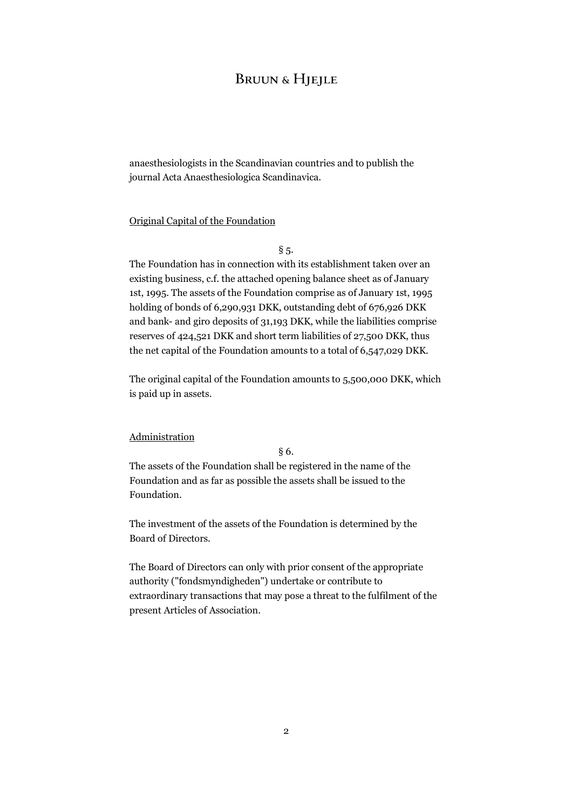anaesthesiologists in the Scandinavian countries and to publish the journal Acta Anaesthesiologica Scandinavica.

#### Original Capital of the Foundation

 $§$  5.

The Foundation has in connection with its establishment taken over an existing business, c.f. the attached opening balance sheet as of January 1st, 1995. The assets of the Foundation comprise as of January 1st, 1995 holding of bonds of 6,290,931 DKK, outstanding debt of 676,926 DKK and bank- and giro deposits of 31,193 DKK, while the liabilities comprise reserves of 424,521 DKK and short term liabilities of 27,500 DKK, thus the net capital of the Foundation amounts to a total of 6,547,029 DKK.

The original capital of the Foundation amounts to 5,500,000 DKK, which is paid up in assets.

### Administration

§ 6.

The assets of the Foundation shall be registered in the name of the Foundation and as far as possible the assets shall be issued to the Foundation.

The investment of the assets of the Foundation is determined by the Board of Directors.

The Board of Directors can only with prior consent of the appropriate authority ("fondsmyndigheden") undertake or contribute to extraordinary transactions that may pose a threat to the fulfilment of the present Articles of Association.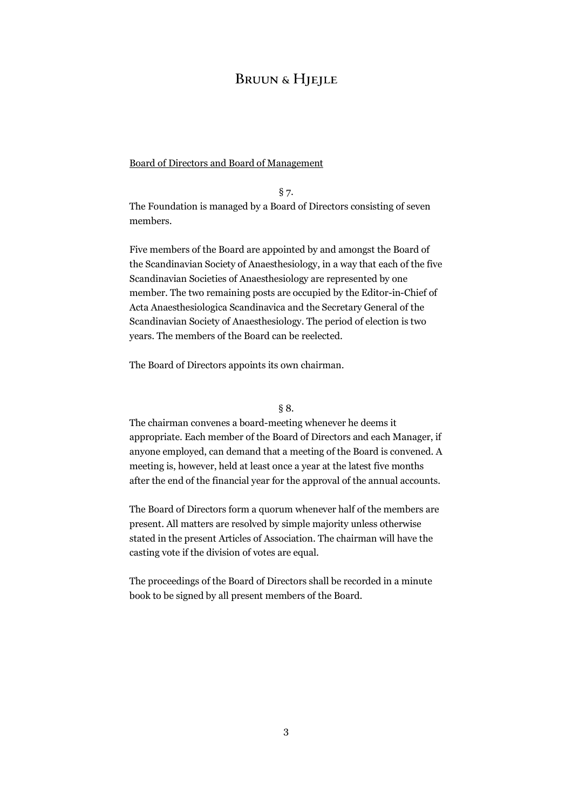# **BRUUN & HIEILE**

### Board of Directors and Board of Management

§ 7.

The Foundation is managed by a Board of Directors consisting of seven members.

Five members of the Board are appointed by and amongst the Board of the Scandinavian Society of Anaesthesiology, in a way that each of the five Scandinavian Societies of Anaesthesiology are represented by one member. The two remaining posts are occupied by the Editor-in-Chief of Acta Anaesthesiologica Scandinavica and the Secretary General of the Scandinavian Society of Anaesthesiology. The period of election is two years. The members of the Board can be reelected.

The Board of Directors appoints its own chairman.

#### § 8.

The chairman convenes a board-meeting whenever he deems it appropriate. Each member of the Board of Directors and each Manager, if anyone employed, can demand that a meeting of the Board is convened. A meeting is, however, held at least once a year at the latest five months after the end of the financial year for the approval of the annual accounts.

The Board of Directors form a quorum whenever half of the members are present. All matters are resolved by simple majority unless otherwise stated in the present Articles of Association. The chairman will have the casting vote if the division of votes are equal.

The proceedings of the Board of Directors shall be recorded in a minute book to be signed by all present members of the Board.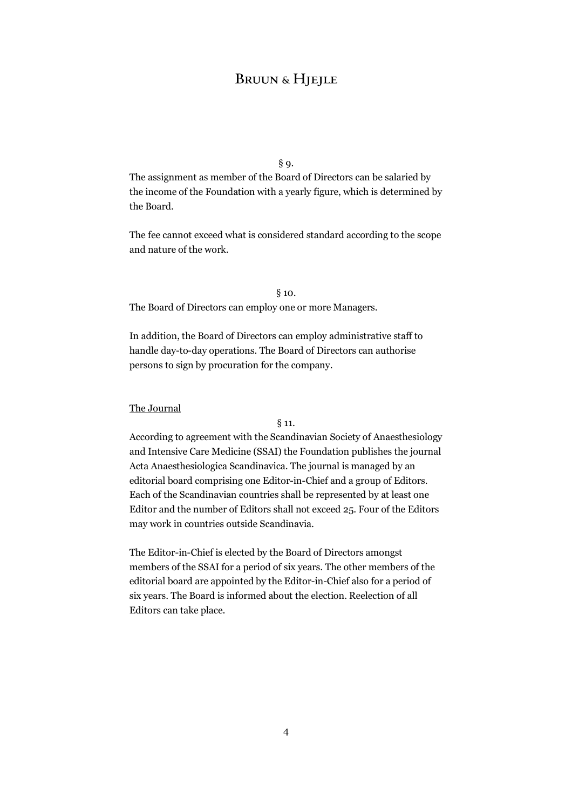### § 9.

The assignment as member of the Board of Directors can be salaried by the income of the Foundation with a yearly figure, which is determined by the Board.

The fee cannot exceed what is considered standard according to the scope and nature of the work.

#### § 10.

The Board of Directors can employ one or more Managers.

In addition, the Board of Directors can employ administrative staff to handle day-to-day operations. The Board of Directors can authorise persons to sign by procuration for the company.

#### The Journal

#### § 11.

According to agreement with the Scandinavian Society of Anaesthesiology and Intensive Care Medicine (SSAI) the Foundation publishes the journal Acta Anaesthesiologica Scandinavica. The journal is managed by an editorial board comprising one Editor-in-Chief and a group of Editors. Each of the Scandinavian countries shall be represented by at least one Editor and the number of Editors shall not exceed 25. Four of the Editors may work in countries outside Scandinavia.

The Editor-in-Chief is elected by the Board of Directors amongst members of the SSAI for a period of six years. The other members of the editorial board are appointed by the Editor-in-Chief also for a period of six years. The Board is informed about the election. Reelection of all Editors can take place.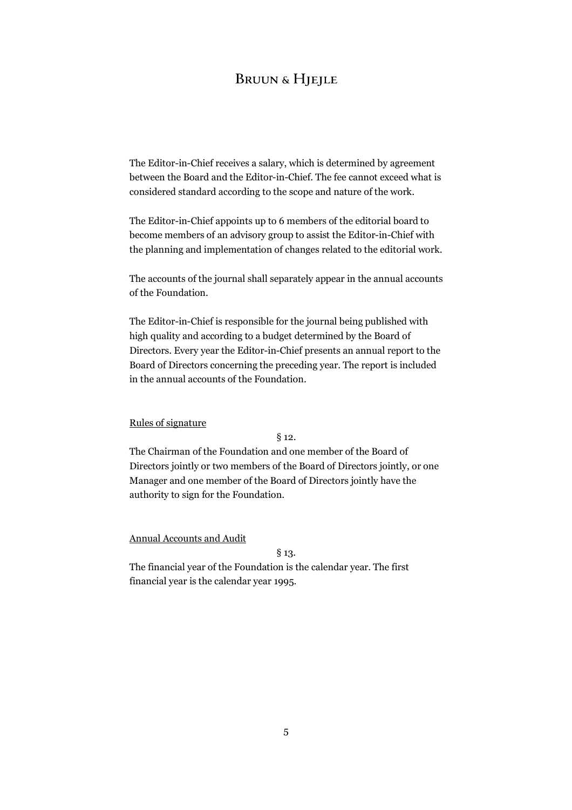The Editor-in-Chief receives a salary, which is determined by agreement between the Board and the Editor-in-Chief. The fee cannot exceed what is considered standard according to the scope and nature of the work.

The Editor-in-Chief appoints up to 6 members of the editorial board to become members of an advisory group to assist the Editor-in-Chief with the planning and implementation of changes related to the editorial work.

The accounts of the journal shall separately appear in the annual accounts of the Foundation.

The Editor-in-Chief is responsible for the journal being published with high quality and according to a budget determined by the Board of Directors. Every year the Editor-in-Chief presents an annual report to the Board of Directors concerning the preceding year. The report is included in the annual accounts of the Foundation.

#### Rules of signature

§ 12.

The Chairman of the Foundation and one member of the Board of Directors jointly or two members of the Board of Directors jointly, or one Manager and one member of the Board of Directors jointly have the authority to sign for the Foundation.

Annual Accounts and Audit

§ 13.

The financial year of the Foundation is the calendar year. The first financial year is the calendar year 1995.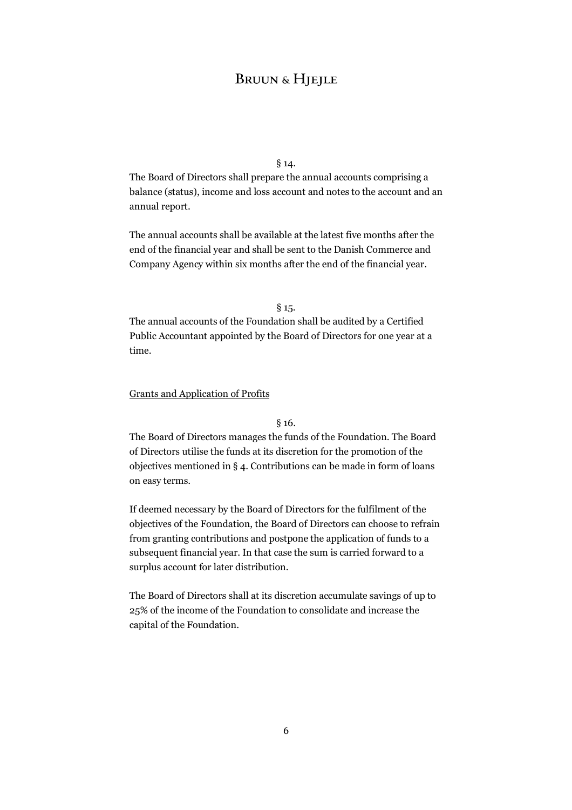## § 14.

The Board of Directors shall prepare the annual accounts comprising a balance (status), income and loss account and notes to the account and an annual report.

The annual accounts shall be available at the latest five months after the end of the financial year and shall be sent to the Danish Commerce and Company Agency within six months after the end of the financial year.

#### § 15.

The annual accounts of the Foundation shall be audited by a Certified Public Accountant appointed by the Board of Directors for one year at a time.

#### Grants and Application of Profits

#### § 16.

The Board of Directors manages the funds of the Foundation. The Board of Directors utilise the funds at its discretion for the promotion of the objectives mentioned in § 4. Contributions can be made in form of loans on easy terms.

If deemed necessary by the Board of Directors for the fulfilment of the objectives of the Foundation, the Board of Directors can choose to refrain from granting contributions and postpone the application of funds to a subsequent financial year. In that case the sum is carried forward to a surplus account for later distribution.

The Board of Directors shall at its discretion accumulate savings of up to 25% of the income of the Foundation to consolidate and increase the capital of the Foundation.